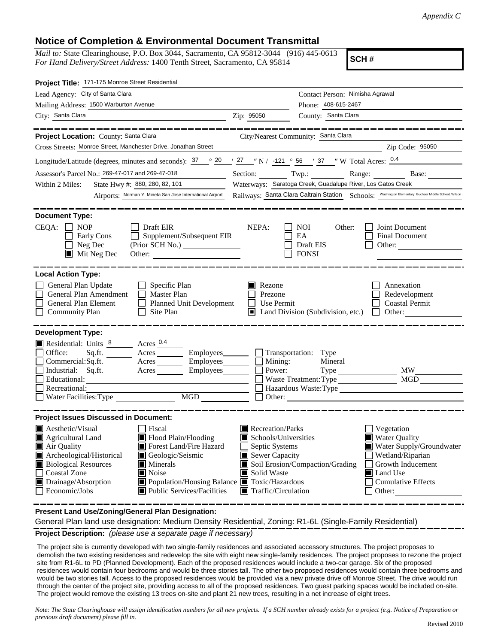## **Notice of Completion & Environmental Document Transmittal**

*Mail to:* State Clearinghouse, P.O. Box 3044, Sacramento, CA 95812-3044 (916) 445-0613 *For Hand Delivery/Street Address:* 1400 Tenth Street, Sacramento, CA 95814

**SCH #**

| Project Title: 171-175 Monroe Street Residential                                                                                                                                                                                                                                                                                                                                                                                                                  |                                                                                                                                                                                                                                                                                        |  |  |
|-------------------------------------------------------------------------------------------------------------------------------------------------------------------------------------------------------------------------------------------------------------------------------------------------------------------------------------------------------------------------------------------------------------------------------------------------------------------|----------------------------------------------------------------------------------------------------------------------------------------------------------------------------------------------------------------------------------------------------------------------------------------|--|--|
| Lead Agency: City of Santa Clara                                                                                                                                                                                                                                                                                                                                                                                                                                  | Contact Person: Nimisha Agrawal                                                                                                                                                                                                                                                        |  |  |
| Mailing Address: 1500 Warburton Avenue                                                                                                                                                                                                                                                                                                                                                                                                                            | Phone: 408-615-2467                                                                                                                                                                                                                                                                    |  |  |
| City: Santa Clara<br>Zip: 95050                                                                                                                                                                                                                                                                                                                                                                                                                                   | County: Santa Clara                                                                                                                                                                                                                                                                    |  |  |
|                                                                                                                                                                                                                                                                                                                                                                                                                                                                   |                                                                                                                                                                                                                                                                                        |  |  |
| Project Location: County: Santa Clara<br>Cross Streets: Monroe Street, Manchester Drive, Jonathan Street                                                                                                                                                                                                                                                                                                                                                          | City/Nearest Community: Santa Clara                                                                                                                                                                                                                                                    |  |  |
|                                                                                                                                                                                                                                                                                                                                                                                                                                                                   | Zip Code: 95050                                                                                                                                                                                                                                                                        |  |  |
| Longitude/Latitude (degrees, minutes and seconds): $\frac{37}{20}$ $\frac{20}{27}$ $\frac{27}{27}$ $\frac{1}{27}$ N / -121 $\degree$ 56 $\degree$ / 37 $\degree$ W Total Acres: $\frac{0.4}{27}$                                                                                                                                                                                                                                                                  |                                                                                                                                                                                                                                                                                        |  |  |
| Assessor's Parcel No.: 269-47-017 and 269-47-018<br>Section:                                                                                                                                                                                                                                                                                                                                                                                                      | Twp.:<br>Range:<br>Base:                                                                                                                                                                                                                                                               |  |  |
| Waterways: Saratoga Creek, Guadalupe River, Los Gatos Creek<br>State Hwy #: 880, 280, 82, 101<br>Within 2 Miles:                                                                                                                                                                                                                                                                                                                                                  |                                                                                                                                                                                                                                                                                        |  |  |
|                                                                                                                                                                                                                                                                                                                                                                                                                                                                   | Airports: Norman Y. Mineta San Jose International Airport Railways: Santa Clara Caltrain Station Schools: Washington Elementary, Buchser Middle School, Wilson                                                                                                                         |  |  |
| <b>Document Type:</b>                                                                                                                                                                                                                                                                                                                                                                                                                                             |                                                                                                                                                                                                                                                                                        |  |  |
| $CEQA: \Box NP$<br>$\Box$ Draft EIR<br>NEPA:<br>$\Box$ Supplement/Subsequent EIR<br>$\Box$ Early Cons<br>$\Box$ Neg Dec<br>$\blacksquare$ Mit Neg Dec<br>Other:                                                                                                                                                                                                                                                                                                   | <b>Joint Document</b><br>NOI<br>Other:<br>$\Box$ EA<br>Final Document<br><b>Draft EIS</b><br>$\Box$ Other:<br><b>FONSI</b>                                                                                                                                                             |  |  |
| <b>Local Action Type:</b>                                                                                                                                                                                                                                                                                                                                                                                                                                         |                                                                                                                                                                                                                                                                                        |  |  |
| General Plan Update<br>$\Box$ Specific Plan<br>General Plan Amendment<br>Master Plan<br>General Plan Element<br>Planned Unit Development<br>$\mathbf{I}$<br>Community Plan<br>$\Box$ Site Plan                                                                                                                                                                                                                                                                    | Rezone<br>Annexation<br>Redevelopment<br>Prezone<br>$\Box$ Coastal Permit<br>Use Permit<br>$\blacksquare$ Land Division (Subdivision, etc.)<br>$\Box$ Other:                                                                                                                           |  |  |
| <b>Development Type:</b><br>Acres $0.4$<br>Residential: Units 8<br>Office:<br>Sq.ft.<br>Acres<br>Employees_<br>$\Box$ Commercial: Sq. ft.<br>Employees_<br>$A$ cres $\_\_$<br>$\Box$ Industrial: Sq.ft.<br>Employees<br>Acres                                                                                                                                                                                                                                     | Transportation: Type<br>$\Box$ Mining:<br>Mineral<br><b>MW</b><br>Power:                                                                                                                                                                                                               |  |  |
| Educational:                                                                                                                                                                                                                                                                                                                                                                                                                                                      | Waste Treatment: Type<br>MGD                                                                                                                                                                                                                                                           |  |  |
| Recreational:                                                                                                                                                                                                                                                                                                                                                                                                                                                     | Hazardous Waste:Type                                                                                                                                                                                                                                                                   |  |  |
| <b>MGD</b><br>$\Box$ Water Facilities: Type                                                                                                                                                                                                                                                                                                                                                                                                                       | Other:                                                                                                                                                                                                                                                                                 |  |  |
| <b>Project Issues Discussed in Document:</b>                                                                                                                                                                                                                                                                                                                                                                                                                      |                                                                                                                                                                                                                                                                                        |  |  |
| $\blacksquare$ Aesthetic/Visual<br><b>■</b> Fiscal<br>Agricultural Land<br>Flood Plain/Flooding<br>Air Quality<br>Forest Land/Fire Hazard<br>$\Box$ Septic Systems<br>Archeological/Historical<br>Geologic/Seismic<br>Sewer Capacity<br>Minerals<br><b>Biological Resources</b><br>Noise<br>Coastal Zone<br>Solid Waste<br>Population/Housing Balance Toxic/Hazardous<br>Drainage/Absorption<br>$\Box$ Economic/Jobs<br>$\blacksquare$ Public Services/Facilities | Recreation/Parks<br>$\Box$ Vegetation<br>Schools/Universities<br><b>Water Quality</b><br>Water Supply/Groundwater<br>Wetland/Riparian<br>Growth Inducement<br>Soil Erosion/Compaction/Grading<br>Land Use<br>Cumulative Effects<br>$\blacksquare$ Traffic/Circulation<br>$\Box$ Other: |  |  |

**Present Land Use/Zoning/General Plan Designation:**

**Project Description:** *(please use a separate page if necessary)* General Plan land use designation: Medium Density Residential, Zoning: R1-6L (Single-Family Residential)

 The project site is currently developed with two single-family residences and associated accessory structures. The project proposes to demolish the two existing residences and redevelop the site with eight new single-family residences. The project proposes to rezone the project site from R1-6L to PD (Planned Development). Each of the proposed residences would include a two-car garage. Six of the proposed residences would contain four bedrooms and would be three stories tall. The other two proposed residences would contain three bedrooms and would be two stories tall. Access to the proposed residences would be provided via a new private drive off Monroe Street. The drive would run through the center of the project site, providing access to all of the proposed residences. Two guest parking spaces would be included on-site. The project would remove the existing 13 trees on-site and plant 21 new trees, resulting in a net increase of eight trees.

*Note: The State Clearinghouse will assign identification numbers for all new projects. If a SCH number already exists for a project (e.g. Notice of Preparation or previous draft document) please fill in.*